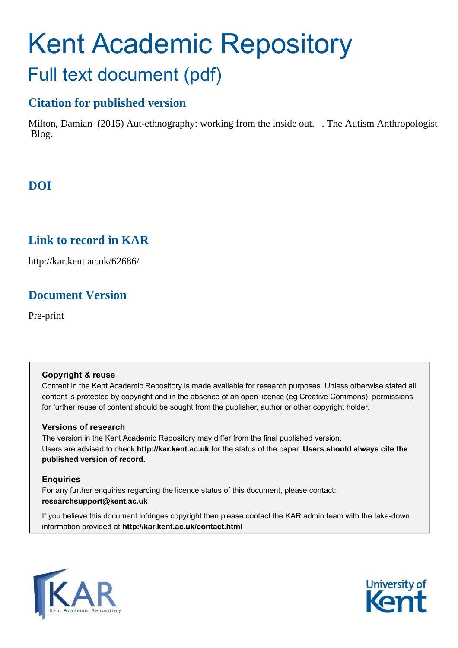# Kent Academic Repository Full text document (pdf)

## **Citation for published version**

Milton, Damian (2015) Aut-ethnography: working from the inside out. . The Autism Anthropologist Blog.

## **DOI**

## **Link to record in KAR**

http://kar.kent.ac.uk/62686/

## **Document Version**

Pre-print

#### **Copyright & reuse**

Content in the Kent Academic Repository is made available for research purposes. Unless otherwise stated all content is protected by copyright and in the absence of an open licence (eg Creative Commons), permissions for further reuse of content should be sought from the publisher, author or other copyright holder.

#### **Versions of research**

The version in the Kent Academic Repository may differ from the final published version. Users are advised to check **http://kar.kent.ac.uk** for the status of the paper. **Users should always cite the published version of record.**

#### **Enquiries**

For any further enquiries regarding the licence status of this document, please contact: **researchsupport@kent.ac.uk**

If you believe this document infringes copyright then please contact the KAR admin team with the take-down information provided at **http://kar.kent.ac.uk/contact.html**



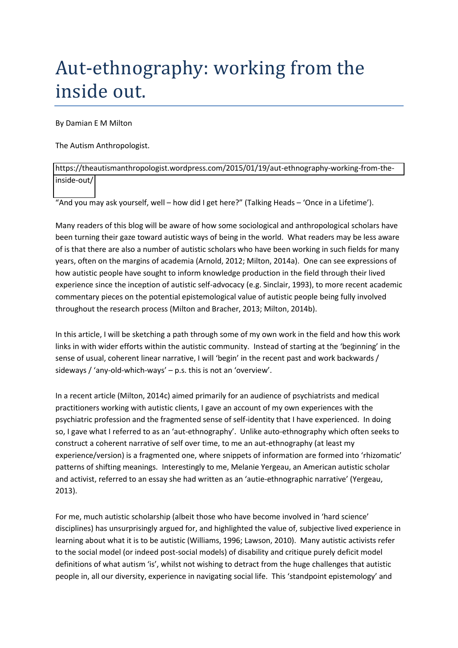## Aut-ethnography: working from the inside out.

By Damian E M Milton

The Autism Anthropologist.

[https://theautismanthropologist.wordpress.com/2015/01/19/aut-ethnography-working-from-the](https://theautismanthropologist.wordpress.com/2015/01/19/aut-ethnography-working-from-the-inside-out/)[inside-out/](https://theautismanthropologist.wordpress.com/2015/01/19/aut-ethnography-working-from-the-inside-out/) 

"And you may ask yourself, well – how did I get here?" (Talking Heads – 'Once in a Lifetime').

Many readers of this blog will be aware of how some sociological and anthropological scholars have been turning their gaze toward autistic ways of being in the world. What readers may be less aware of is that there are also a number of autistic scholars who have been working in such fields for many years, often on the margins of academia (Arnold, 2012; Milton, 2014a). One can see expressions of how autistic people have sought to inform knowledge production in the field through their lived experience since the inception of autistic self-advocacy (e.g. Sinclair, 1993), to more recent academic commentary pieces on the potential epistemological value of autistic people being fully involved throughout the research process (Milton and Bracher, 2013; Milton, 2014b).

In this article, I will be sketching a path through some of my own work in the field and how this work links in with wider efforts within the autistic community. Instead of starting at the 'beginning' in the sense of usual, coherent linear narrative, I will 'begin' in the recent past and work backwards / sideways / 'any-old-which-ways'  $-$  p.s. this is not an 'overview'.

In a recent article (Milton, 2014c) aimed primarily for an audience of psychiatrists and medical practitioners working with autistic clients, I gave an account of my own experiences with the psychiatric profession and the fragmented sense of self-identity that I have experienced. In doing so, I gave what I referred to as an 'aut-ethnography'. Unlike auto-ethnography which often seeks to construct a coherent narrative of self over time, to me an aut-ethnography (at least my experience/version) is a fragmented one, where snippets of information are formed into 'rhizomatic' patterns of shifting meanings. Interestingly to me, Melanie Yergeau, an American autistic scholar and activist, referred to an essay she had written as an 'autie-ethnographic narrative' (Yergeau, 2013).

For me, much autistic scholarship (albeit those who have become involved in 'hard science' disciplines) has unsurprisingly argued for, and highlighted the value of, subjective lived experience in learning about what it is to be autistic (Williams, 1996; Lawson, 2010). Many autistic activists refer to the social model (or indeed post-social models) of disability and critique purely deficit model definitions of what autism 'is', whilst not wishing to detract from the huge challenges that autistic people in, all our diversity, experience in navigating social life. This 'standpoint epistemology' and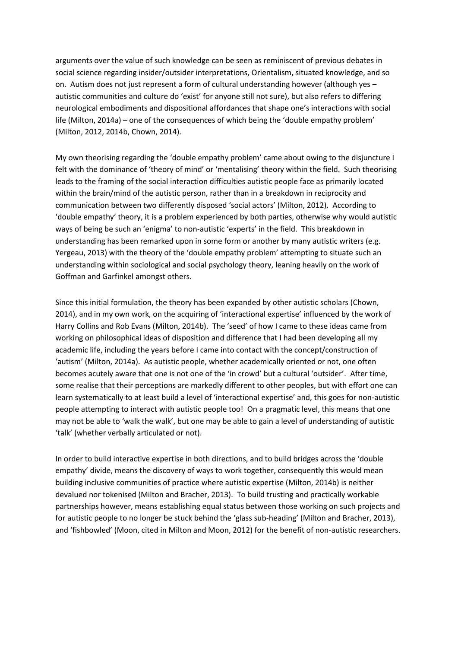arguments over the value of such knowledge can be seen as reminiscent of previous debates in social science regarding insider/outsider interpretations, Orientalism, situated knowledge, and so on. Autism does not just represent a form of cultural understanding however (although yes autistic communities and culture do 'exist' for anyone still not sure), but also refers to differing neurological embodiments and dispositional affordances that shape one's interactions with social life (Milton, 2014a) – one of the consequences of which being the 'double empathy problem' (Milton, 2012, 2014b, Chown, 2014).

My own theorising regarding the 'double empathy problem' came about owing to the disjuncture I felt with the dominance of 'theory of mind' or 'mentalising' theory within the field. Such theorising leads to the framing of the social interaction difficulties autistic people face as primarily located within the brain/mind of the autistic person, rather than in a breakdown in reciprocity and communication between two differently disposed 'social actors' (Milton, 2012). According to 'double empathy' theory, it is a problem experienced by both parties, otherwise why would autistic ways of being be such an 'enigma' to non-autistic 'experts' in the field. This breakdown in understanding has been remarked upon in some form or another by many autistic writers (e.g. Yergeau, 2013) with the theory of the 'double empathy problem' attempting to situate such an understanding within sociological and social psychology theory, leaning heavily on the work of Goffman and Garfinkel amongst others.

Since this initial formulation, the theory has been expanded by other autistic scholars (Chown, 2014), and in my own work, on the acquiring of 'interactional expertise' influenced by the work of Harry Collins and Rob Evans (Milton, 2014b). The 'seed' of how I came to these ideas came from working on philosophical ideas of disposition and difference that I had been developing all my academic life, including the years before I came into contact with the concept/construction of 'autism' (Milton, 2014a). As autistic people, whether academically oriented or not, one often becomes acutely aware that one is not one of the 'in crowd' but a cultural 'outsider'. After time, some realise that their perceptions are markedly different to other peoples, but with effort one can learn systematically to at least build a level of 'interactional expertise' and, this goes for non-autistic people attempting to interact with autistic people too! On a pragmatic level, this means that one may not be able to 'walk the walk', but one may be able to gain a level of understanding of autistic 'talk' (whether verbally articulated or not).

In order to build interactive expertise in both directions, and to build bridges across the 'double empathy' divide, means the discovery of ways to work together, consequently this would mean building inclusive communities of practice where autistic expertise (Milton, 2014b) is neither devalued nor tokenised (Milton and Bracher, 2013). To build trusting and practically workable partnerships however, means establishing equal status between those working on such projects and for autistic people to no longer be stuck behind the 'glass sub-heading' (Milton and Bracher, 2013), and 'fishbowled' (Moon, cited in Milton and Moon, 2012) for the benefit of non-autistic researchers.